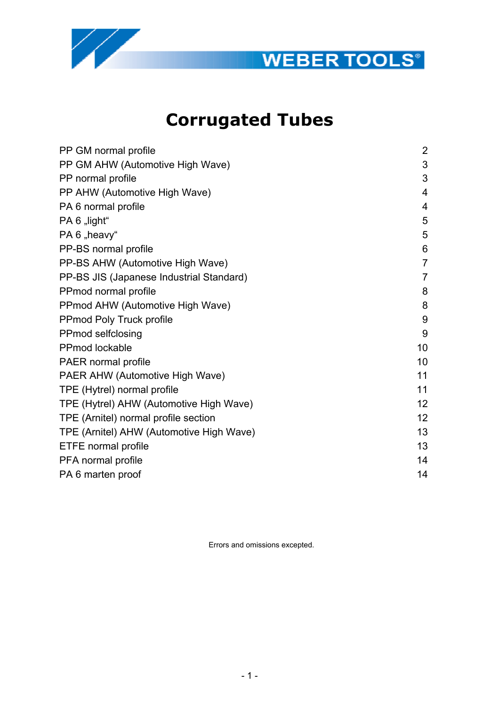



# **Corrugated Tubes**

| PP GM normal profile                     | $\overline{2}$ |
|------------------------------------------|----------------|
| PP GM AHW (Automotive High Wave)         | 3              |
| PP normal profile                        | 3              |
| PP AHW (Automotive High Wave)            | $\overline{4}$ |
| PA 6 normal profile                      | 4              |
| PA 6 "light"                             | 5              |
| PA 6 "heavy"                             | 5              |
| PP-BS normal profile                     | 6              |
| PP-BS AHW (Automotive High Wave)         | $\overline{7}$ |
| PP-BS JIS (Japanese Industrial Standard) | $\overline{7}$ |
| PPmod normal profile                     | 8              |
| PPmod AHW (Automotive High Wave)         | 8              |
| PPmod Poly Truck profile                 | 9              |
| PPmod selfclosing                        | 9              |
| <b>PPmod lockable</b>                    | 10             |
| PAER normal profile                      | 10             |
| PAER AHW (Automotive High Wave)          | 11             |
| TPE (Hytrel) normal profile              | 11             |
| TPE (Hytrel) AHW (Automotive High Wave)  | 12             |
| TPE (Arnitel) normal profile section     | 12             |
| TPE (Arnitel) AHW (Automotive High Wave) | 13             |
| ETFE normal profile                      | 13             |
| PFA normal profile                       | 14             |
| PA 6 marten proof                        | 14             |
|                                          |                |

Errors and omissions excepted.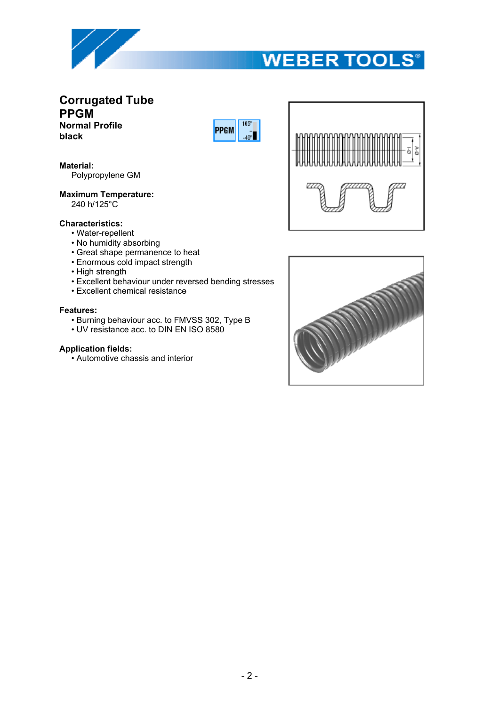

## **Corrugated Tube PPGM Normal Profile black**



#### **Material:**

Polypropylene GM

#### **Maximum Temperature:**

240 h/125°C

#### **Characteristics:**

- Water-repellent
- No humidity absorbing
- Great shape permanence to heat
- Enormous cold impact strength
- High strength
- Excellent behaviour under reversed bending stresses
- Excellent chemical resistance

#### **Features:**

- Burning behaviour acc. to FMVSS 302, Type B
- UV resistance acc. to DIN EN ISO 8580

#### **Application fields:**

• Automotive chassis and interior



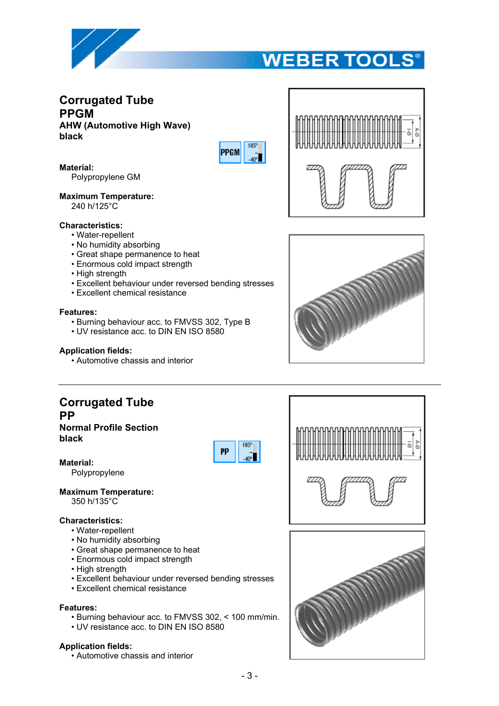

## **Corrugated Tube PPGM AHW (Automotive High Wave) black**



**Material:**

Polypropylene GM

#### **Maximum Temperature:** 240 h/125°C

### **Characteristics:**

- Water-repellent
- No humidity absorbing
- Great shape permanence to heat
- Enormous cold impact strength
- High strength
- Excellent behaviour under reversed bending stresses
- Excellent chemical resistance

#### **Features:**

- Burning behaviour acc. to FMVSS 302, Type B
- UV resistance acc. to DIN EN ISO 8580

#### **Application fields:**

• Automotive chassis and interior



## **Normal Profile Section black**



**Material:**

Polypropylene

# **Maximum Temperature:**

350 h/135°C

### **Characteristics:**

- Water-repellent
- No humidity absorbing
- Great shape permanence to heat
- Enormous cold impact strength
- High strength
- Excellent behaviour under reversed bending stresses
- Excellent chemical resistance

#### **Features:**

- Burning behaviour acc. to FMVSS 302, < 100 mm/min.
- UV resistance acc. to DIN EN ISO 8580

#### **Application fields:**

• Automotive chassis and interior







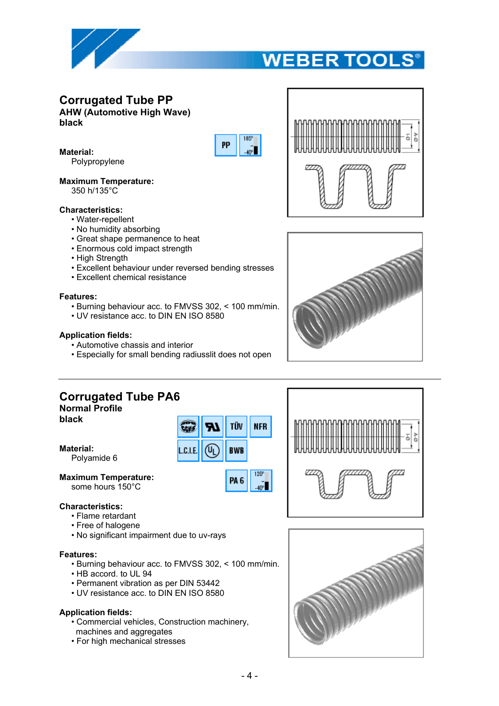

# **Corrugated Tube PP**

**AHW (Automotive High Wave) black**



TÜV

**BWB** 

PA<sub>6</sub>

**NFR** 

120<sup>e</sup>

 $-40<sup>o</sup>$ 



Polypropylene

#### **Maximum Temperature:**

350 h/135°C

#### **Characteristics:**

- Water-repellent
- No humidity absorbing
- Great shape permanence to heat
- Enormous cold impact strength
- High Strength
- Excellent behaviour under reversed bending stresses
- Excellent chemical resistance

#### **Features:**

- Burning behaviour acc. to FMVSS 302, < 100 mm/min.
- UV resistance acc. to DIN EN ISO 8580

#### **Application fields:**

- Automotive chassis and interior
- Especially for small bending radiusslit does not open

**CEWS** 

L.C.I.E.

(Ալ





# **Corrugated Tube PA6**

**Normal Profile**

**black**

**Material:**

Polyamide 6

**Maximum Temperature:** some hours 150°C

#### **Characteristics:**

- Flame retardant
- Free of halogene
- No significant impairment due to uv-rays

#### **Features:**

- Burning behaviour acc. to FMVSS 302, < 100 mm/min.
- HB accord. to UL 94
- Permanent vibration as per DIN 53442
- UV resistance acc. to DIN EN ISO 8580

#### **Application fields:**

- Commercial vehicles, Construction machinery, machines and aggregates
- For high mechanical stresses



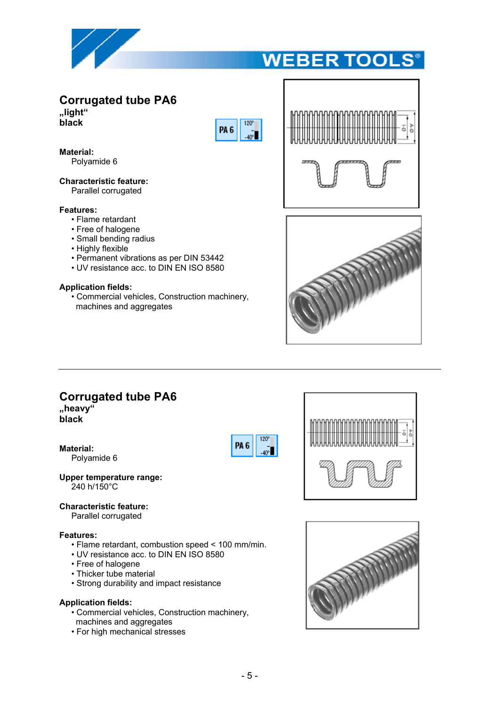

# **Corrugated tube PA6**

**"light" black**



**Material:**

Polyamide 6

**Characteristic feature:** Parallel corrugated

#### **Features:**

- Flame retardant
- Free of halogene
- Small bending radius
- Highly flexible
- Permanent vibrations as per DIN 53442
- UV resistance acc. to DIN EN ISO 8580

#### **Application fields:**

• Commercial vehicles, Construction machinery, machines and aggregates





# **Corrugated tube PA6**

**"heavy" black**

**Material:**

Polyamide 6







#### **Characteristic feature:**

Parallel corrugated

#### **Features:**

- Flame retardant, combustion speed < 100 mm/min.
- UV resistance acc. to DIN EN ISO 8580
- Free of halogene
- Thicker tube material
- Strong durability and impact resistance

#### **Application fields:**

- Commercial vehicles, Construction machinery,
- machines and aggregates
- For high mechanical stresses

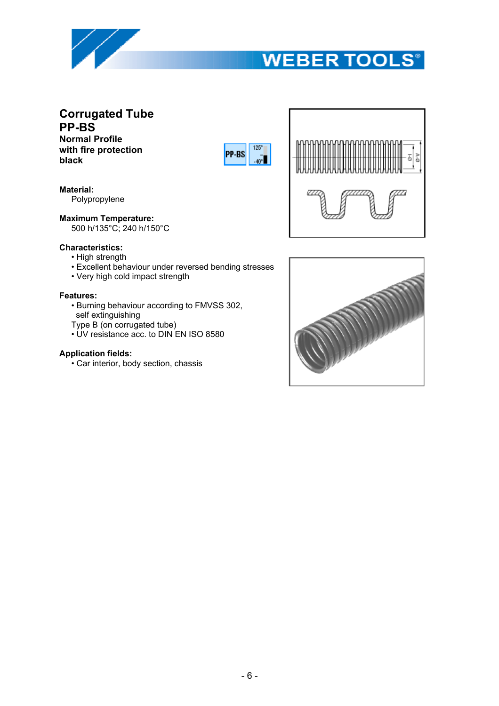

# **Corrugated Tube PP-BS**

**Normal Profile with fire protection black**



**Material:** Polypropylene

**Maximum Temperature:**

500 h/135°C; 240 h/150°C



### **Characteristics:**

- High strength
- Excellent behaviour under reversed bending stresses
- Very high cold impact strength

### **Features:**

- Burning behaviour according to FMVSS 302,
- self extinguishing Type B (on corrugated tube)
- UV resistance acc. to DIN EN ISO 8580

### **Application fields:**

• Car interior, body section, chassis

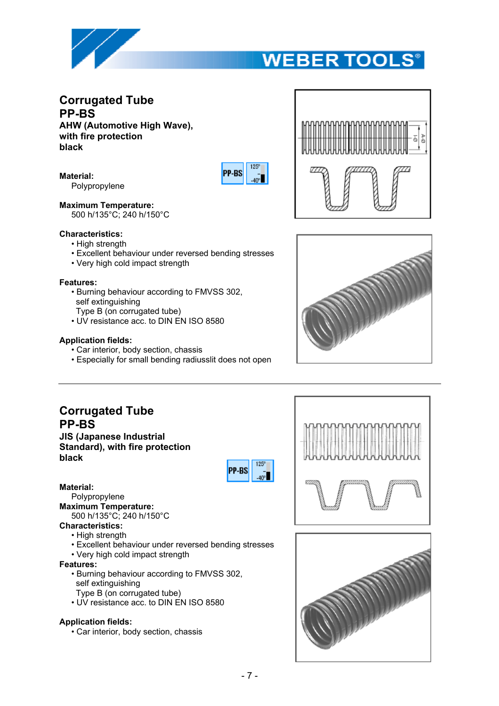

## **Corrugated Tube PP-BS AHW (Automotive High Wave), with fire protection black**







**Material:**

Polypropylene

**Maximum Temperature:**

500 h/135°C; 240 h/150°C

### **Characteristics:**

- High strength
- Excellent behaviour under reversed bending stresses
- Very high cold impact strength

### **Features:**

- Burning behaviour according to FMVSS 302, self extinguishing
	- Type B (on corrugated tube)
- UV resistance acc. to DIN EN ISO 8580

### **Application fields:**

- Car interior, body section, chassis
- Especially for small bending radiusslit does not open



 $125<sup>c</sup>$ **PP-BS**  $-40^{6}$ 

### **Material:**

Polypropylene **Maximum Temperature:**

500 h/135°C; 240 h/150°C

- **Characteristics:**
	- High strength
	- Excellent behaviour under reversed bending stresses
	- Very high cold impact strength

### **Features:**

- Burning behaviour according to FMVSS 302, self extinguishing
- Type B (on corrugated tube)
- UV resistance acc. to DIN EN ISO 8580

### **Application fields:**

• Car interior, body section, chassis



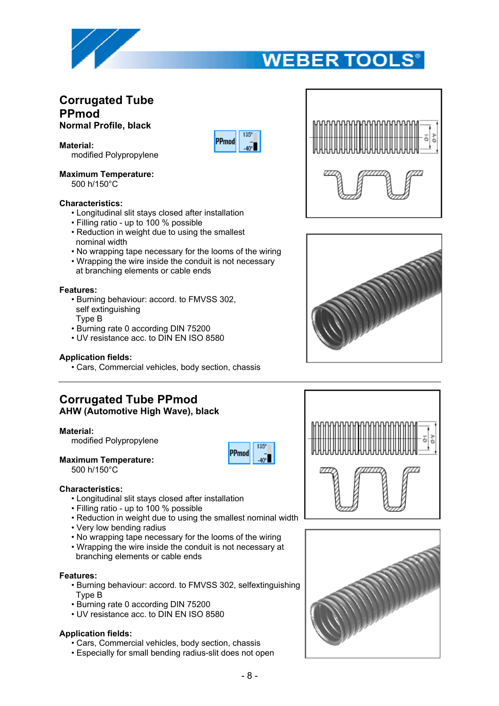

## **Corrugated Tube PPmod Normal Profile, black**

**Material:**

modified Polypropylene

#### **Maximum Temperature:** 500 h/150°C

### **Characteristics:**

- Longitudinal slit stays closed after installation
- Filling ratio up to 100 % possible
- Reduction in weight due to using the smallest nominal width
- No wrapping tape necessary for the looms of the wiring

PPmod

• Wrapping the wire inside the conduit is not necessary at branching elements or cable ends

#### **Features:**

- Burning behaviour: accord. to FMVSS 302, self extinguishing
- Type B
- Burning rate 0 according DIN 75200 • UV resistance acc. to DIN EN ISO 8580
- 

#### **Application fields:**

• Cars, Commercial vehicles, body section, chassis

# **Corrugated Tube PPmod**

**AHW (Automotive High Wave), black**

#### **Material:**

modified Polypropylene

#### **Maximum Temperature:**

500 h/150°C

# 135° PPmod



- Longitudinal slit stays closed after installation
- Filling ratio up to 100 % possible
- Reduction in weight due to using the smallest nominal width
- Very low bending radius
- No wrapping tape necessary for the looms of the wiring
- Wrapping the wire inside the conduit is not necessary at branching elements or cable ends

#### **Features:**

- Burning behaviour: accord. to FMVSS 302, selfextinguishing Type B
- Burning rate 0 according DIN 75200
- UV resistance acc. to DIN EN ISO 8580

#### **Application fields:**

- Cars, Commercial vehicles, body section, chassis
- Especially for small bending radius-slit does not open







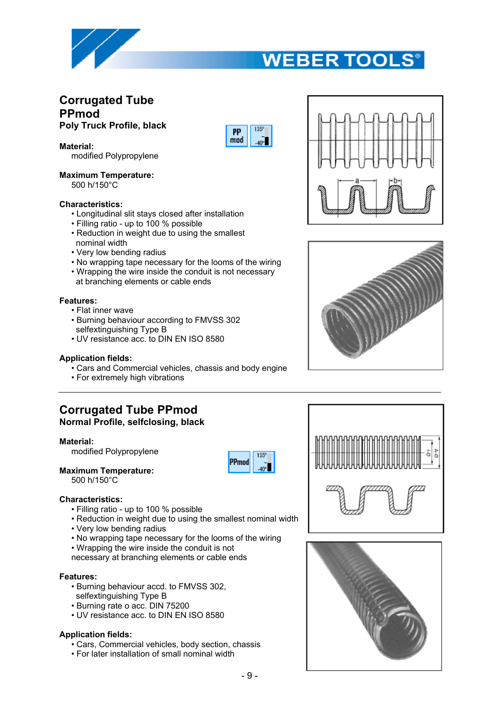

## **Corrugated Tube PPmod Poly Truck Profile, black**

**Material:**

modified Polypropylene

**Maximum Temperature:** 500 h/150°C

#### **Characteristics:**

- Longitudinal slit stays closed after installation
- Filling ratio up to 100 % possible
- Reduction in weight due to using the smallest nominal width
- Very low bending radius
- No wrapping tape necessary for the looms of the wiring
- Wrapping the wire inside the conduit is not necessary
- at branching elements or cable ends

#### **Features:**

- Flat inner wave
- Burning behaviour according to FMVSS 302 selfextinguishing Type B
- UV resistance acc. to DIN EN ISO 8580

#### **Application fields:**

- Cars and Commercial vehicles, chassis and body engine
- For extremely high vibrations

### **Corrugated Tube PPmod Normal Profile, selfclosing, black**

#### **Material:**

modified Polypropylene

**Maximum Temperature:** 500 h/150°C

#### **Characteristics:**

- Filling ratio up to 100 % possible
- Reduction in weight due to using the smallest nominal width
- Very low bending radius
- No wrapping tape necessary for the looms of the wiring
- Wrapping the wire inside the conduit is not
- necessary at branching elements or cable ends

#### **Features:**

- Burning behaviour accd. to FMVSS 302, selfextinguishing Type B
- Burning rate o acc. DIN 75200
- UV resistance acc. to DIN EN ISO 8580

#### **Application fields:**

- Cars, Commercial vehicles, body section, chassis
- For later installation of small nominal width











PP  $mod$ 

**ADP**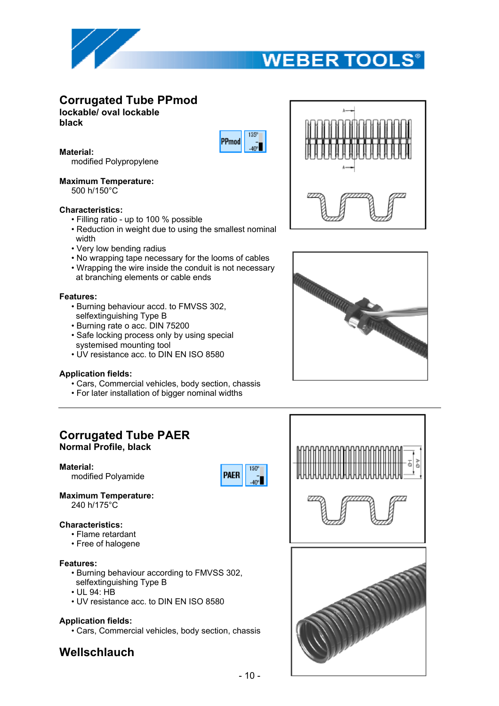

# **Corrugated Tube PPmod**

**lockable/ oval lockable**

**black**



#### **Material:**

modified Polypropylene

#### **Maximum Temperature:**

500 h/150°C

#### **Characteristics:**

- Filling ratio up to 100 % possible
- Reduction in weight due to using the smallest nominal width
- Very low bending radius
- No wrapping tape necessary for the looms of cables
- Wrapping the wire inside the conduit is not necessary at branching elements or cable ends

#### **Features:**

- Burning behaviour accd. to FMVSS 302, selfextinguishing Type B
- Burning rate o acc. DIN 75200
- Safe locking process only by using special systemised mounting tool
- UV resistance acc. to DIN EN ISO 8580

#### **Application fields:**

- Cars, Commercial vehicles, body section, chassis
- For later installation of bigger nominal widths

# **Corrugated Tube PAER**

**Normal Profile, black**

**Material:**

modified Polyamide



**Maximum Temperature:** 240 h/175°C

#### **Characteristics:**

- Flame retardant
- Free of halogene

#### **Features:**

- Burning behaviour according to FMVSS 302, selfextinguishing Type B
- UL 94: HB
- UV resistance acc. to DIN EN ISO 8580

#### **Application fields:**

• Cars, Commercial vehicles, body section, chassis

# **Wellschlauch**





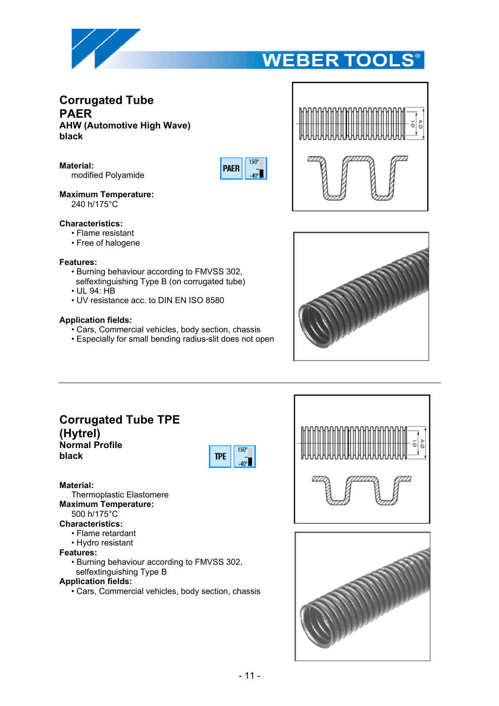

## **Corrugated Tube PAER AHW (Automotive High Wave) black**

**Material:** modified Polyamide







#### **Maximum Temperature:** 240 h/175°C

#### **Characteristics:**

- Flame resistant
- Free of halogene

#### **Features:**

- Burning behaviour according to FMVSS 302,
- selfextinguishing Type B (on corrugated tube)
- UL 94: HB
- UV resistance acc. to DIN EN ISO 8580

#### **Application fields:**

- Cars, Commercial vehicles, body section, chassis
- Especially for small bending radius-slit does not open

## **Corrugated Tube TPE (Hytrel) Normal Profile black**



#### **Material:**

Thermoplastic Elastomere **Maximum Temperature:**

### 500 h/175°C

- **Characteristics:**
	- Flame retardant
	- Hydro resistant

#### **Features:**

• Burning behaviour according to FMVSS 302, selfextinguishing Type B

# **Application fields:**

• Cars, Commercial vehicles, body section, chassis



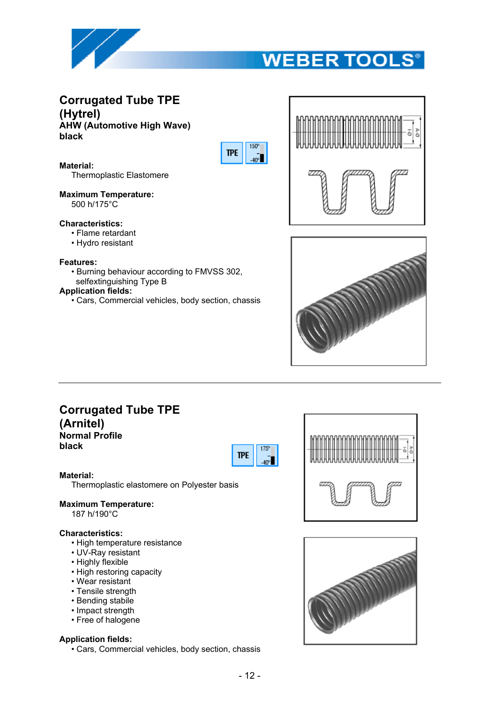

## **Corrugated Tube TPE (Hytrel) AHW (Automotive High Wave) black**



**Material:** Thermoplastic Elastomere

**Maximum Temperature:** 500 h/175°C

#### **Characteristics:**

- Flame retardant
- Hydro resistant

#### **Features:**

• Burning behaviour according to FMVSS 302,

# selfextinguishing Type B

- **Application fields:**
	- Cars, Commercial vehicles, body section, chassis





## **Corrugated Tube TPE (Arnitel)**

**Normal Profile black**



#### **Material:**

Thermoplastic elastomere on Polyester basis

#### **Maximum Temperature:**

187 h/190°C

#### **Characteristics:**

- High temperature resistance
- UV-Ray resistant
- Highly flexible
- High restoring capacity
- Wear resistant
- Tensile strength
- Bending stabile
- Impact strength
- Free of halogene

#### **Application fields:**

• Cars, Commercial vehicles, body section, chassis



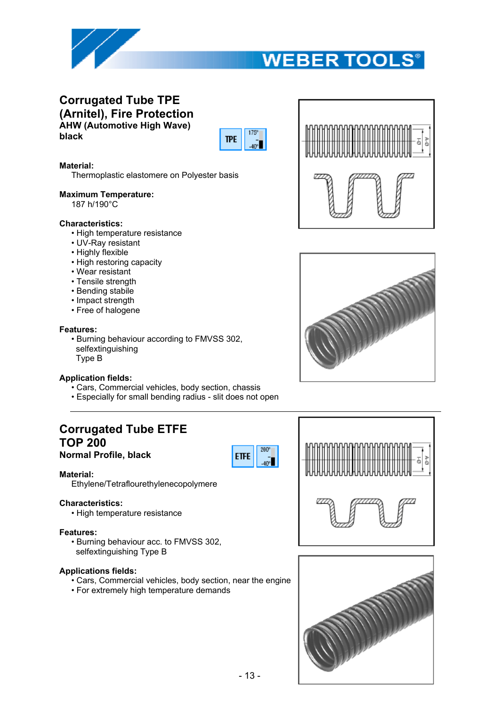

## **Corrugated Tube TPE (Arnitel), Fire Protection AHW (Automotive High Wave) black**



#### **Material:**

Thermoplastic elastomere on Polyester basis

#### **Maximum Temperature:**

187 h/190°C

#### **Characteristics:**

- High temperature resistance
- UV-Ray resistant
- Highly flexible
- High restoring capacity
- Wear resistant
- Tensile strength
- Bending stabile
- Impact strength
- Free of halogene

#### **Features:**

• Burning behaviour according to FMVSS 302, selfextinguishing Type B

#### **Application fields:**

- Cars, Commercial vehicles, body section, chassis
- Especially for small bending radius slit does not open

# **Corrugated Tube ETFE TOP 200**

**Normal Profile, black**



#### **Material:**

Ethylene/Tetraflourethylenecopolymere

#### **Characteristics:**

• High temperature resistance

#### **Features:**

• Burning behaviour acc. to FMVSS 302, selfextinguishing Type B

#### **Applications fields:**

- Cars, Commercial vehicles, body section, near the engine
- For extremely high temperature demands